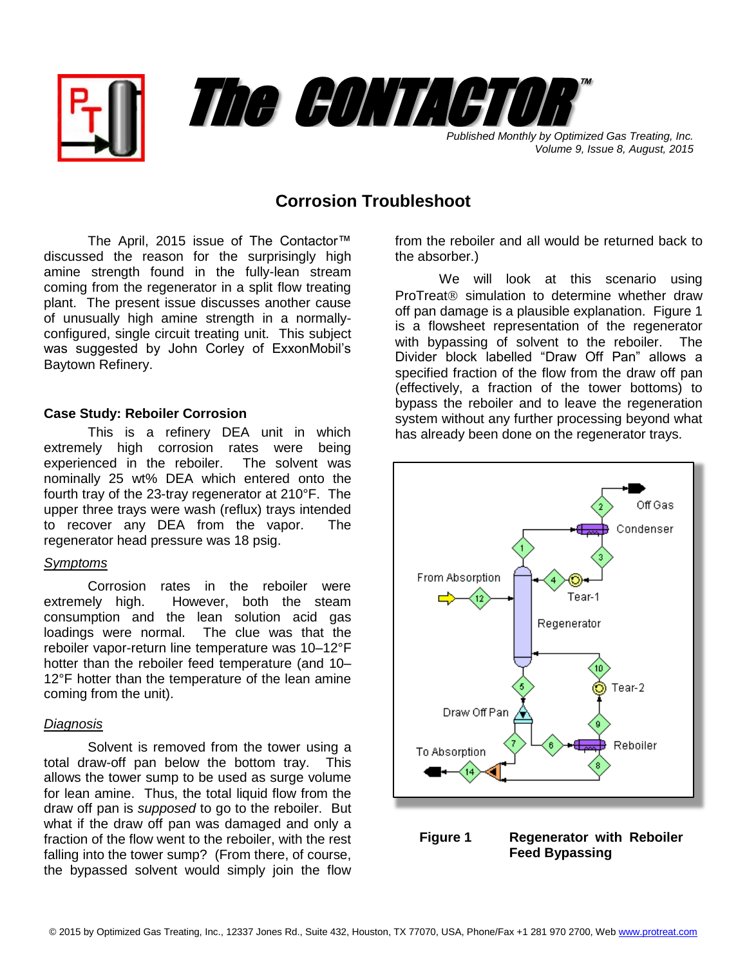



*Volume 9, Issue 8, August, 2015*

## **Corrosion Troubleshoot**

The April, 2015 issue of The Contactor™ discussed the reason for the surprisingly high amine strength found in the fully-lean stream coming from the regenerator in a split flow treating plant. The present issue discusses another cause of unusually high amine strength in a normallyconfigured, single circuit treating unit. This subject was suggested by John Corley of ExxonMobil's Baytown Refinery.

### **Case Study: Reboiler Corrosion**

This is a refinery DEA unit in which extremely high corrosion rates were being experienced in the reboiler. The solvent was nominally 25 wt% DEA which entered onto the fourth tray of the 23-tray regenerator at 210°F. The upper three trays were wash (reflux) trays intended to recover any DEA from the vapor. The regenerator head pressure was 18 psig.

#### *Symptoms*

Corrosion rates in the reboiler were extremely high. However, both the steam consumption and the lean solution acid gas loadings were normal. The clue was that the reboiler vapor-return line temperature was 10–12°F hotter than the reboiler feed temperature (and 10– 12°F hotter than the temperature of the lean amine coming from the unit).

#### *Diagnosis*

Solvent is removed from the tower using a total draw-off pan below the bottom tray. This allows the tower sump to be used as surge volume for lean amine. Thus, the total liquid flow from the draw off pan is *supposed* to go to the reboiler. But what if the draw off pan was damaged and only a fraction of the flow went to the reboiler, with the rest falling into the tower sump? (From there, of course, the bypassed solvent would simply join the flow

from the reboiler and all would be returned back to the absorber.)

We will look at this scenario using ProTreat<sup>®</sup> simulation to determine whether draw off pan damage is a plausible explanation. Figure 1 is a flowsheet representation of the regenerator with bypassing of solvent to the reboiler. The Divider block labelled "Draw Off Pan" allows a specified fraction of the flow from the draw off pan (effectively, a fraction of the tower bottoms) to bypass the reboiler and to leave the regeneration system without any further processing beyond what has already been done on the regenerator trays.



# **Feed Bypassing**